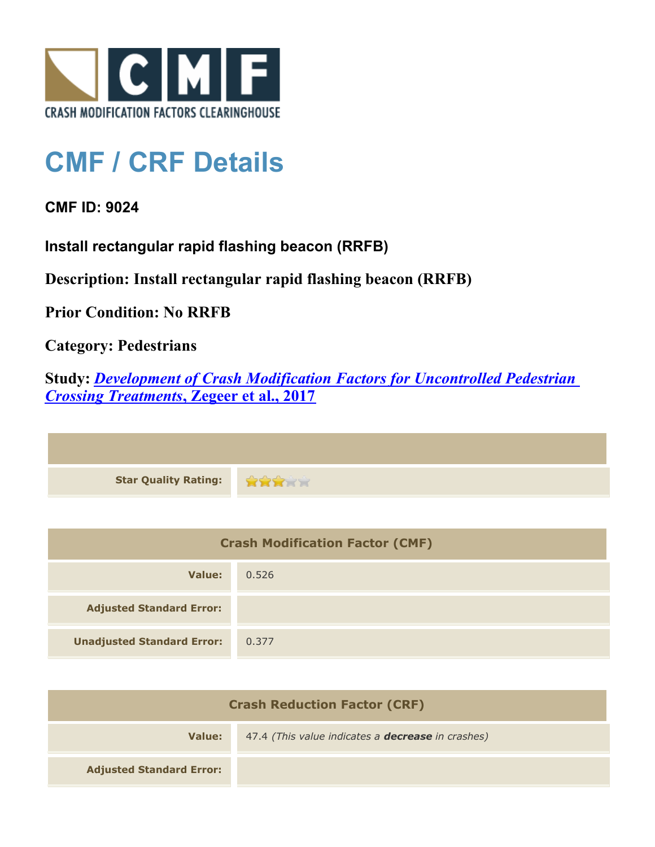

## **CMF / CRF Details**

## **CMF ID: 9024**

**Install rectangular rapid flashing beacon (RRFB)**

**Description: Install rectangular rapid flashing beacon (RRFB)**

**Prior Condition: No RRFB**

**Category: Pedestrians**

**Study:** *[Development of Crash Modification Factors for Uncontrolled Pedestrian](http://www.cmfclearinghouse.org/study_detail.cfm?stid=487) [Crossing Treatments](http://www.cmfclearinghouse.org/study_detail.cfm?stid=487)***[, Zegeer et al., 2017](http://www.cmfclearinghouse.org/study_detail.cfm?stid=487)**

| Star Quality Rating: |  |
|----------------------|--|

| <b>Crash Modification Factor (CMF)</b> |       |
|----------------------------------------|-------|
| Value:                                 | 0.526 |
| <b>Adjusted Standard Error:</b>        |       |
| <b>Unadjusted Standard Error:</b>      | 0.377 |

| <b>Crash Reduction Factor (CRF)</b> |                                                          |
|-------------------------------------|----------------------------------------------------------|
| Value:                              | 47.4 (This value indicates a <b>decrease</b> in crashes) |
| <b>Adjusted Standard Error:</b>     |                                                          |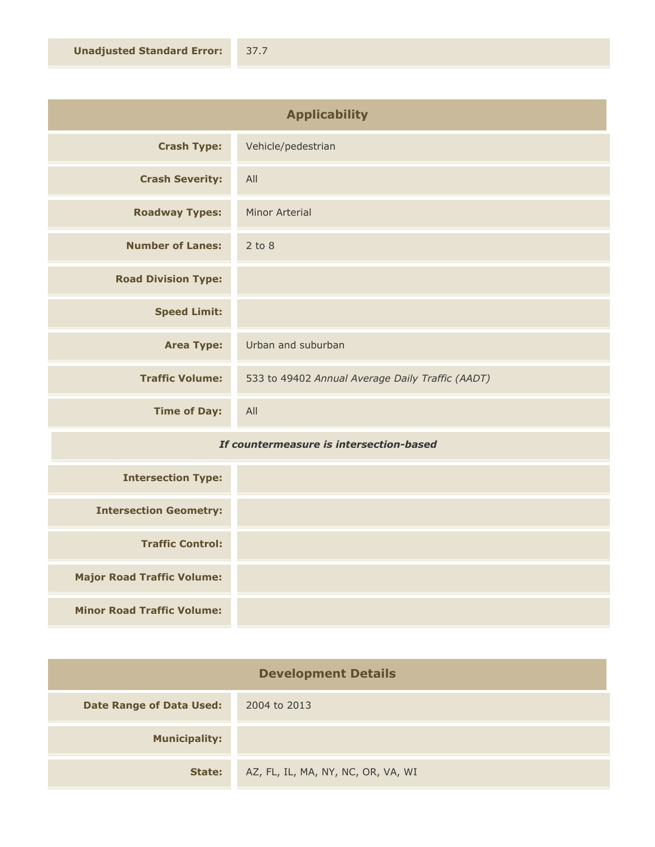| <b>Applicability</b>       |                                                  |
|----------------------------|--------------------------------------------------|
| <b>Crash Type:</b>         | Vehicle/pedestrian                               |
| <b>Crash Severity:</b>     | All                                              |
| <b>Roadway Types:</b>      | <b>Minor Arterial</b>                            |
| <b>Number of Lanes:</b>    | $2$ to $8$                                       |
| <b>Road Division Type:</b> |                                                  |
| <b>Speed Limit:</b>        |                                                  |
| <b>Area Type:</b>          | Urban and suburban                               |
| <b>Traffic Volume:</b>     | 533 to 49402 Annual Average Daily Traffic (AADT) |
| <b>Time of Day:</b>        | All                                              |

## *If countermeasure is intersection-based*

| <b>Intersection Type:</b>         |  |
|-----------------------------------|--|
| <b>Intersection Geometry:</b>     |  |
| <b>Traffic Control:</b>           |  |
| <b>Major Road Traffic Volume:</b> |  |
| <b>Minor Road Traffic Volume:</b> |  |

| <b>Development Details</b>      |                                    |
|---------------------------------|------------------------------------|
| <b>Date Range of Data Used:</b> | 2004 to 2013                       |
| <b>Municipality:</b>            |                                    |
| State:                          | AZ, FL, IL, MA, NY, NC, OR, VA, WI |